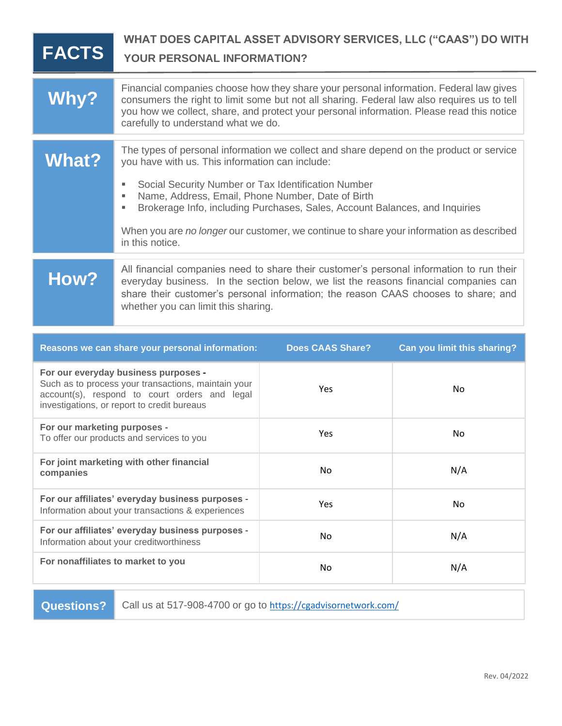| <b>FACTS</b>                                                                                                                                                                                | WHAT DOES CAPITAL ASSET ADVISORY SERVICES, LLC ("CAAS") DO WITH<br><b>YOUR PERSONAL INFORMATION?</b>                                                                                                                                                                                                                                                                                                                                                               |                         |                             |
|---------------------------------------------------------------------------------------------------------------------------------------------------------------------------------------------|--------------------------------------------------------------------------------------------------------------------------------------------------------------------------------------------------------------------------------------------------------------------------------------------------------------------------------------------------------------------------------------------------------------------------------------------------------------------|-------------------------|-----------------------------|
| Why?                                                                                                                                                                                        | Financial companies choose how they share your personal information. Federal law gives<br>consumers the right to limit some but not all sharing. Federal law also requires us to tell<br>you how we collect, share, and protect your personal information. Please read this notice<br>carefully to understand what we do.                                                                                                                                          |                         |                             |
| <b>What?</b>                                                                                                                                                                                | The types of personal information we collect and share depend on the product or service<br>you have with us. This information can include:<br>Social Security Number or Tax Identification Number<br>٠<br>Name, Address, Email, Phone Number, Date of Birth<br>٠<br>Brokerage Info, including Purchases, Sales, Account Balances, and Inquiries<br>٠<br>When you are no longer our customer, we continue to share your information as described<br>in this notice. |                         |                             |
| How?                                                                                                                                                                                        | All financial companies need to share their customer's personal information to run their<br>everyday business. In the section below, we list the reasons financial companies can<br>share their customer's personal information; the reason CAAS chooses to share; and<br>whether you can limit this sharing.                                                                                                                                                      |                         |                             |
|                                                                                                                                                                                             | Reasons we can share your personal information:                                                                                                                                                                                                                                                                                                                                                                                                                    | <b>Does CAAS Share?</b> | Can you limit this sharing? |
| For our everyday business purposes -<br>Such as to process your transactions, maintain your<br>account(s), respond to court orders and legal<br>investigations, or report to credit bureaus |                                                                                                                                                                                                                                                                                                                                                                                                                                                                    | Yes                     | No                          |
| For our marketing purposes -<br>To offer our products and services to you                                                                                                                   |                                                                                                                                                                                                                                                                                                                                                                                                                                                                    | Yes                     | No                          |
| For joint marketing with other financial<br>companies                                                                                                                                       |                                                                                                                                                                                                                                                                                                                                                                                                                                                                    | No                      | N/A                         |
| For our affiliates' everyday business purposes -<br>Information about your transactions & experiences                                                                                       |                                                                                                                                                                                                                                                                                                                                                                                                                                                                    | Yes                     | No                          |
| For our affiliates' everyday business purposes -<br>Information about your creditworthiness                                                                                                 |                                                                                                                                                                                                                                                                                                                                                                                                                                                                    | No                      | N/A                         |

For nonaffiliates to market to you and the set of the N/A and N/A and N/A and N/A and N/A and N/A and N/A and N/A

**Questions?** Call us at 517-908-4700 or go to <https://cgadvisornetwork.com/>